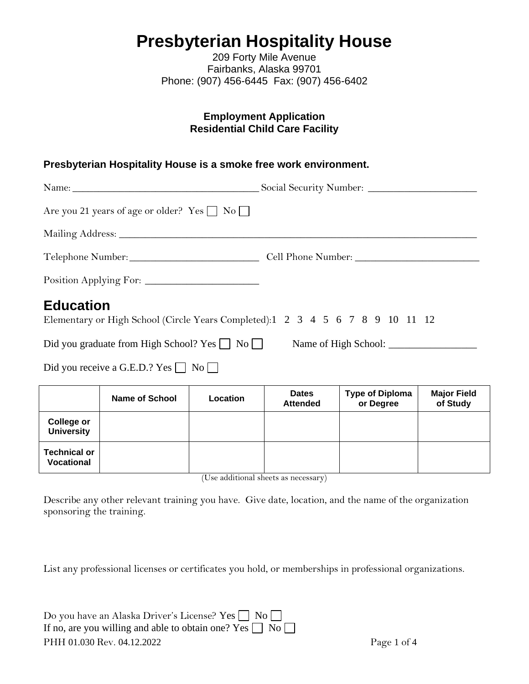# **Presbyterian Hospitality House**

209 Forty Mile Avenue Fairbanks, Alaska 99701 Phone: (907) 456-6445 Fax: (907) 456-6402

#### **Employment Application Residential Child Care Facility**

#### **Presbyterian Hospitality House is a smoke free work environment.**

| Are you 21 years of age or older? Yes $\Box$ No $\Box$                                            |  |
|---------------------------------------------------------------------------------------------------|--|
|                                                                                                   |  |
|                                                                                                   |  |
|                                                                                                   |  |
| <b>Education</b><br>Elementary or High School (Circle Years Completed):1 2 3 4 5 6 7 8 9 10 11 12 |  |
| Did you graduate from High School? Yes     No                                                     |  |

Did you receive a G.E.D.? Yes  $\Box$  No  $\Box$ 

|                                          | Name of School | <b>Location</b> | <b>Dates</b><br><b>Attended</b> | <b>Type of Diploma</b><br>or Degree | <b>Major Field</b><br>of Study |
|------------------------------------------|----------------|-----------------|---------------------------------|-------------------------------------|--------------------------------|
| College or<br><b>University</b>          |                |                 |                                 |                                     |                                |
| <b>Technical or</b><br><b>Vocational</b> |                |                 |                                 |                                     |                                |

(Use additional sheets as necessary)

Describe any other relevant training you have. Give date, location, and the name of the organization sponsoring the training.

List any professional licenses or certificates you hold, or memberships in professional organizations.

| Do you have an Alaska Driver's License? Yes $\Box$ No $\Box$        |  |
|---------------------------------------------------------------------|--|
| If no, are you willing and able to obtain one? Yes $\Box$ No $\Box$ |  |
| PHH 01.030 Rev. 04.12.2022                                          |  |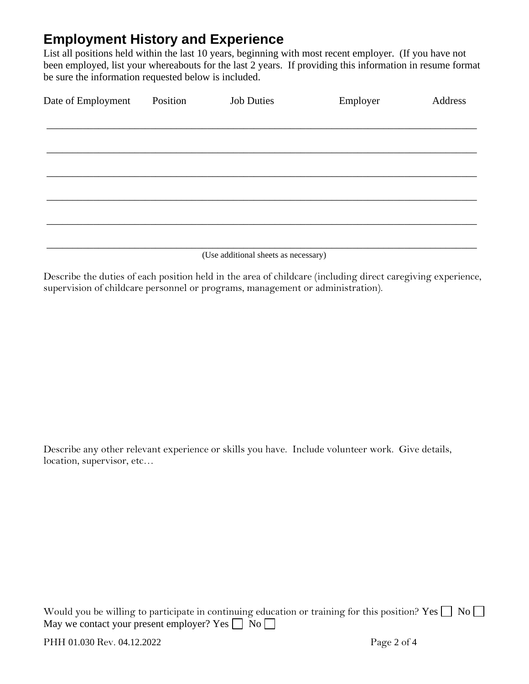# **Employment History and Experience**

List all positions held within the last 10 years, beginning with most recent employer. (If you have not been employed, list your whereabouts for the last 2 years. If providing this information in resume format be sure the information requested below is included.

| Date of Employment | Position | <b>Job Duties</b> | Employer | Address |
|--------------------|----------|-------------------|----------|---------|
|                    |          |                   |          |         |
|                    |          |                   |          |         |
|                    |          |                   |          |         |
|                    |          |                   |          |         |
|                    |          |                   |          |         |
|                    |          |                   |          |         |
|                    |          |                   |          |         |

(Use additional sheets as necessary)

Describe the duties of each position held in the area of childcare (including direct caregiving experience, supervision of childcare personnel or programs, management or administration).

Describe any other relevant experience or skills you have. Include volunteer work. Give details, location, supervisor, etc…

Would you be willing to participate in continuing education or training for this position? Yes  $\Box$  No  $\Box$ May we contact your present employer? Yes  $\Box$  No  $\Box$ 

PHH 01.030 Rev. 04.12.2022 Page 2 of 4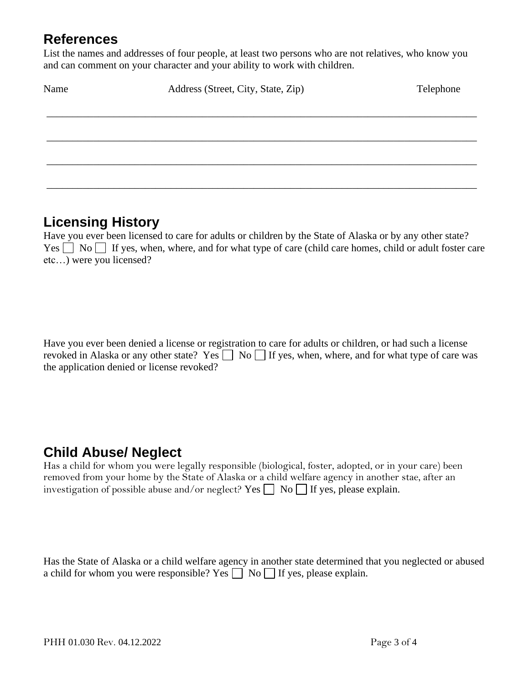### **References**

List the names and addresses of four people, at least two persons who are not relatives, who know you and can comment on your character and your ability to work with children.

| Name | Address (Street, City, State, Zip) | Telephone |  |
|------|------------------------------------|-----------|--|
|      |                                    |           |  |
|      |                                    |           |  |
|      |                                    |           |  |
|      |                                    |           |  |
|      |                                    |           |  |

### **Licensing History**

Have you ever been licensed to care for adults or children by the State of Alaska or by any other state?  $Yes \frown No \frown If yes, when, where, and for what type of care (child care homes, child or adult foster care$ etc…) were you licensed?

Have you ever been denied a license or registration to care for adults or children, or had such a license revoked in Alaska or any other state? Yes  $\Box$  No  $\Box$  If yes, when, where, and for what type of care was the application denied or license revoked?

# **Child Abuse/ Neglect**

Has a child for whom you were legally responsible (biological, foster, adopted, or in your care) been removed from your home by the State of Alaska or a child welfare agency in another stae, after an investigation of possible abuse and/or neglect? Yes  $\Box$  No  $\Box$  If yes, please explain.

Has the State of Alaska or a child welfare agency in another state determined that you neglected or abused a child for whom you were responsible? Yes  $\Box$  No  $\Box$  If yes, please explain.